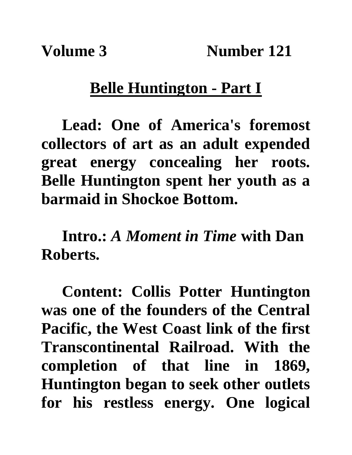## **Belle Huntington - Part I**

**Lead: One of America's foremost collectors of art as an adult expended great energy concealing her roots. Belle Huntington spent her youth as a barmaid in Shockoe Bottom.**

**Intro.:** *A Moment in Time* **with Dan Roberts.**

**Content: Collis Potter Huntington was one of the founders of the Central Pacific, the West Coast link of the first Transcontinental Railroad. With the completion of that line in 1869, Huntington began to seek other outlets for his restless energy. One logical**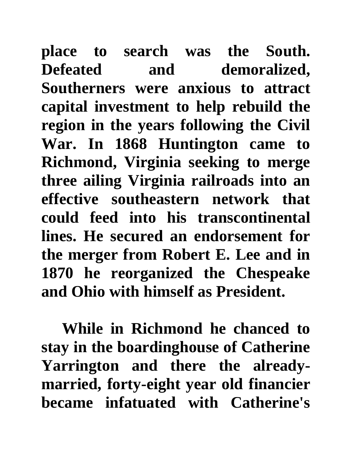**place to search was the South. Defeated and demoralized, Southerners were anxious to attract capital investment to help rebuild the region in the years following the Civil War. In 1868 Huntington came to Richmond, Virginia seeking to merge three ailing Virginia railroads into an effective southeastern network that could feed into his transcontinental lines. He secured an endorsement for the merger from Robert E. Lee and in 1870 he reorganized the Chespeake and Ohio with himself as President.**

**While in Richmond he chanced to stay in the boardinghouse of Catherine Yarrington and there the alreadymarried, forty-eight year old financier became infatuated with Catherine's**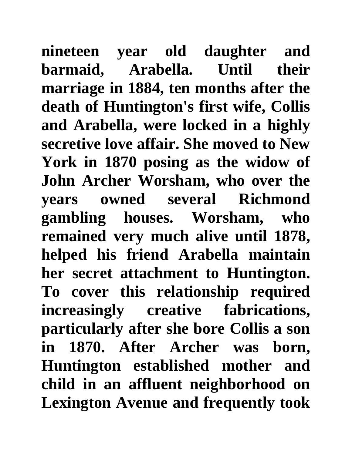**nineteen year old daughter and barmaid, Arabella. Until their marriage in 1884, ten months after the death of Huntington's first wife, Collis and Arabella, were locked in a highly secretive love affair. She moved to New York in 1870 posing as the widow of John Archer Worsham, who over the years owned several Richmond gambling houses. Worsham, who remained very much alive until 1878, helped his friend Arabella maintain her secret attachment to Huntington. To cover this relationship required increasingly creative fabrications, particularly after she bore Collis a son in 1870. After Archer was born, Huntington established mother and child in an affluent neighborhood on Lexington Avenue and frequently took**